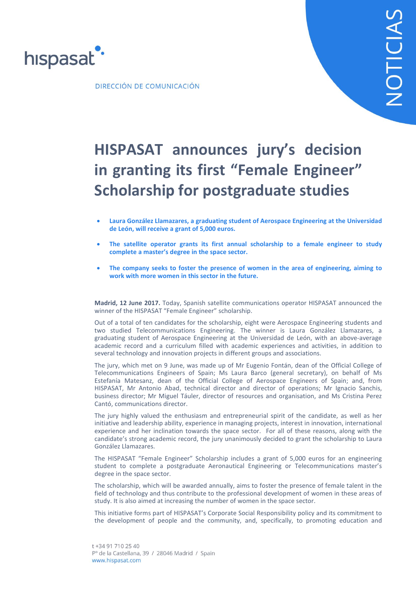

DIRECCIÓN DE COMUNICACIÓN

## **HISPASAT announces jury's decision in granting its first "Female Engineer" Scholarship for postgraduate studies**

- **Laura González Llamazares, a graduating student of Aerospace Engineering at the Universidad de León, will receive a grant of 5,000 euros.**
- **The satellite operator grants its first annual scholarship to a female engineer to study complete a master's degree in the space sector.**
- **The company seeks to foster the presence of women in the area of engineering, aiming to work with more women in this sector in the future.**

**Madrid, 12 June 2017.** Today, Spanish satellite communications operator HISPASAT announced the winner of the HISPASAT "Female Engineer" scholarship.

Out of a total of ten candidates for the scholarship, eight were Aerospace Engineering students and two studied Telecommunications Engineering. The winner is Laura González Llamazares, a graduating student of Aerospace Engineering at the Universidad de León, with an above-average academic record and a curriculum filled with academic experiences and activities, in addition to several technology and innovation projects in different groups and associations.

The jury, which met on 9 June, was made up of Mr Eugenio Fontán, dean of the Official College of Telecommunications Engineers of Spain; Ms Laura Barco (general secretary), on behalf of Ms Estefaniá Matesanz, dean of the Official College of Aerospace Engineers of Spain; and, from HISPASAT, Mr Antonio Abad, technical director and director of operations; Mr Ignacio Sanchis, business director; Mr Miguel Táuler, director of resources and organisation, and Ms Cristina Perez Cantó, communications director.

The jury highly valued the enthusiasm and entrepreneurial spirit of the candidate, as well as her initiative and leadership ability, experience in managing projects, interest in innovation, international experience and her inclination towards the space sector. For all of these reasons, along with the candidate's strong academic record, the jury unanimously decided to grant the scholarship to Laura González Llamazares.

The HISPASAT "Female Engineer" Scholarship includes a grant of 5,000 euros for an engineering student to complete a postgraduate Aeronautical Engineering or Telecommunications master's degree in the space sector.

The scholarship, which will be awarded annually, aims to foster the presence of female talent in the field of technology and thus contribute to the professional development of women in these areas of study. It is also aimed at increasing the number of women in the space sector.

This initiative forms part of HISPASAT's Corporate Social Responsibility policy and its commitment to the development of people and the community, and, specifically, to promoting education and